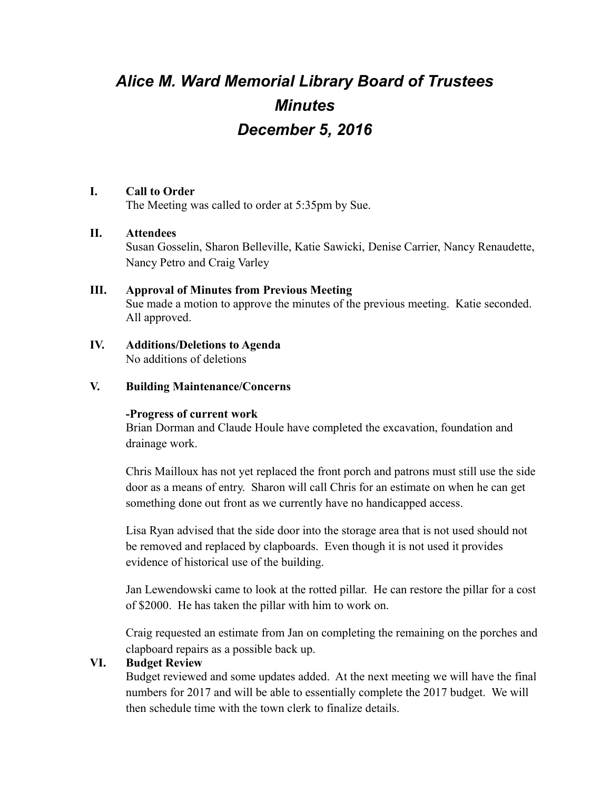# *Alice M. Ward Memorial Library Board of Trustees Minutes December 5, 2016*

#### **I. Call to Order**

The Meeting was called to order at 5:35pm by Sue.

#### **II. Attendees**

Susan Gosselin, Sharon Belleville, Katie Sawicki, Denise Carrier, Nancy Renaudette, Nancy Petro and Craig Varley

# **III. Approval of Minutes from Previous Meeting** Sue made a motion to approve the minutes of the previous meeting. Katie seconded. All approved.

#### **IV. Additions/Deletions to Agenda** No additions of deletions

#### **V. Building Maintenance/Concerns**

#### **-Progress of current work**

Brian Dorman and Claude Houle have completed the excavation, foundation and drainage work.

Chris Mailloux has not yet replaced the front porch and patrons must still use the side door as a means of entry. Sharon will call Chris for an estimate on when he can get something done out front as we currently have no handicapped access.

Lisa Ryan advised that the side door into the storage area that is not used should not be removed and replaced by clapboards. Even though it is not used it provides evidence of historical use of the building.

Jan Lewendowski came to look at the rotted pillar. He can restore the pillar for a cost of \$2000. He has taken the pillar with him to work on.

Craig requested an estimate from Jan on completing the remaining on the porches and clapboard repairs as a possible back up.

# **VI. Budget Review**

Budget reviewed and some updates added. At the next meeting we will have the final numbers for 2017 and will be able to essentially complete the 2017 budget. We will then schedule time with the town clerk to finalize details.